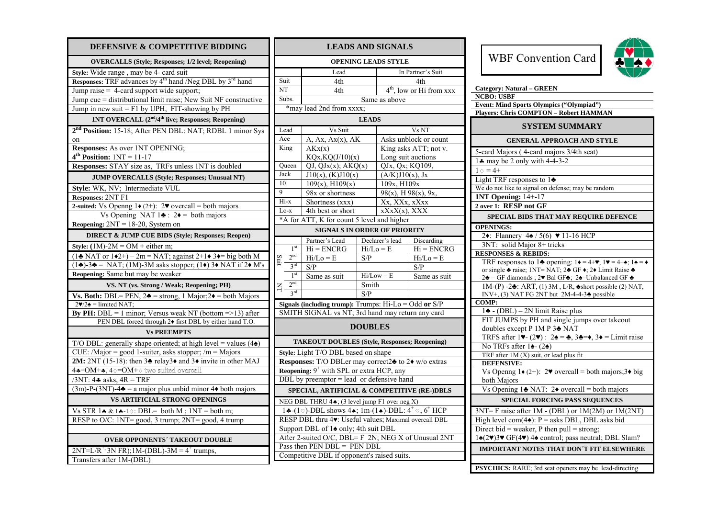| DEFENSIVE & COMPETITIVE BIDDING                                                                          |
|----------------------------------------------------------------------------------------------------------|
| <b>OVERCALLS (Style; Responses; 1/2 level; Reopening)</b>                                                |
| Style: Wide range, may be 4- card suit                                                                   |
| Responses: TRF advances by 4 <sup>th</sup> hand /Neg DBL by 3 <sup>rd</sup> hand                         |
| Jump raise = 4-card support wide support;                                                                |
| Jump cue = distributional limit raise; New Suit NF constructive                                          |
| Jump in new suit = $F1$ by UPH, FIT-showing by PH                                                        |
| 1NT OVERCALL (2 <sup>nd</sup> /4 <sup>th</sup> live; Responses; Reopening)                               |
| 2 <sup>nd</sup> Position: 15-18; After PEN DBL: NAT; RDBL 1 minor Sys                                    |
| on                                                                                                       |
| <b>Responses:</b> As over 1NT OPENING;                                                                   |
| $4th$ Position: $1NT = 11-17$                                                                            |
| Responses: STAY size as, TRFs unless 1NT is doubled                                                      |
| <b>JUMP OVERCALLS (Style; Responses; Unusual NT)</b>                                                     |
| Style: WK, NV; Intermediate VUL                                                                          |
| Responses: 2NT F1                                                                                        |
| 2-suited: Vs Openng $1\bullet (2+)$ : 2 $\bullet$ overcall = both majors                                 |
| Vs Opening NAT $1\clubsuit$ : $2\spadesuit$ = both majors                                                |
| Reopening: $2NT = 18-20$ , System on                                                                     |
| <b>DIRECT &amp; JUMP CUE BIDS (Style; Responses; Reopen)</b>                                             |
| Style: $(1M)-2M = OM +$ either m;                                                                        |
| $(1\clubsuit$ NAT or $1\spadesuit 2+)$ - 2m = NAT; against 2+1 $\spadesuit$ 3 $\spadesuit$ = big both M  |
| $(1\bullet)$ -3 $\bullet$ = NAT; (1M)-3M asks stopper; (1 $\bullet$ ) 3 $\bullet$ NAT if 2 $\bullet$ M's |
| Reopening: Same but may be weaker                                                                        |
| VS. NT (vs. Strong / Weak; Reopening; PH)                                                                |
| Vs. Both: DBL= PEN, $2\triangleq$ = strong, 1 Major; $2\triangleq$ = both Majors                         |
| $2\blacktriangledown/2\blacktriangle =$ limited NAT;                                                     |
| <b>By PH:</b> DBL = 1 minor; Versus weak NT (bottom = > 13) after                                        |
| PEN DBL forced through 2+ first DBL by either hand T.O.                                                  |
| <b>Vs PREEMPTS</b>                                                                                       |
| T/O DBL: generally shape oriented; at high level = values $(4\spadesuit)$                                |
| CUE: /Major = good 1-suiter, asks stopper; /m = Majors                                                   |
| 2M: 2NT (15-18): then $3\blacktriangle$ relay3 $\blacklozenge$ and $3\blacklozenge$ invite in other MAJ  |
| $4*-OM+*, 4 \diamond = OM + \diamond$ two suited overcall                                                |
| $/3NT$ : 4. asks, $4R = TRF$                                                                             |
| $(3m)$ -P- $(3NT)$ -4 $\triangle$ = a major plus unbid minor 4 $\triangle$ both majors                   |
| <b>VS ARTIFICIAL STRONG OPENINGS</b>                                                                     |
| Vs STR $1 \triangleleft \& 1 \triangleleft -1 \diamond$ : DBL= both M; 1NT = both m;                     |
| RESP to O/C: 1NT= good, 3 trump; 2NT= good, 4 trump                                                      |
|                                                                                                          |
| <b>OVER OPPONENTS' TAKEOUT DOUBLE</b>                                                                    |
| $2NT=L/R^{+}$ , 3N FR); 1M-(DBL)-3M = 4 <sup>+</sup> trumps,                                             |
| Transfers after 1M-(DBL)                                                                                 |

| <b>LEADS AND SIGNALS</b>                                                              |                                                                         |                   |                                                          |                                      |  |  |
|---------------------------------------------------------------------------------------|-------------------------------------------------------------------------|-------------------|----------------------------------------------------------|--------------------------------------|--|--|
| <b>OPENING LEADS STYLE</b>                                                            |                                                                         |                   |                                                          |                                      |  |  |
|                                                                                       | Lead                                                                    | In Partner's Suit |                                                          |                                      |  |  |
| Suit                                                                                  | 4th                                                                     |                   | 4th                                                      |                                      |  |  |
| <b>NT</b>                                                                             | 4th                                                                     |                   |                                                          | 4 <sup>th</sup> , low or Hi from xxx |  |  |
| Subs.                                                                                 |                                                                         |                   | Same as above                                            |                                      |  |  |
|                                                                                       | *may lead 2nd from xxxx;                                                |                   |                                                          |                                      |  |  |
|                                                                                       |                                                                         | <b>LEADS</b>      |                                                          |                                      |  |  |
| Lead                                                                                  | Vs Suit                                                                 |                   | Vs NT                                                    |                                      |  |  |
| Ace                                                                                   | A, Ax, Ax(x), AK                                                        |                   | Asks unblock or count                                    |                                      |  |  |
| King                                                                                  | AKx(x)                                                                  |                   | King asks ATT; not v.                                    |                                      |  |  |
|                                                                                       | KQx, KQ(J/10)(x)                                                        |                   | Long suit auctions                                       |                                      |  |  |
| Queen                                                                                 | QJ, QJx(x); AKQ(x)                                                      |                   | QJx, Qx, KQ109,                                          |                                      |  |  |
| Jack                                                                                  | $J10(x)$ , (K) $J10(x)$                                                 |                   | $(A/K)J10(x)$ , Jx                                       |                                      |  |  |
| 10                                                                                    | $\overline{109(x)}$ , H109(x)                                           |                   | 109x, H109x                                              |                                      |  |  |
| $\overline{9}$                                                                        | 98x or shortness                                                        |                   | $98(x)$ , H $98(x)$ , 9x,                                |                                      |  |  |
| Hi-x                                                                                  | Shortness (xxx)                                                         |                   | Xx, XXx, xXxx                                            |                                      |  |  |
| Lo-x                                                                                  | 4th best or short                                                       |                   | $\mathbf{X} \mathbf{X} \mathbf{X} \mathbf{X} \mathbf{X}$ |                                      |  |  |
| *A for ATT, K for count 5 level and higher                                            |                                                                         |                   |                                                          |                                      |  |  |
|                                                                                       | <b>SIGNALS IN ORDER OF PRIORITY</b>                                     |                   |                                                          |                                      |  |  |
|                                                                                       | Partner's Lead                                                          |                   | Declarer's lead                                          | Discarding                           |  |  |
| 1 <sup>st</sup>                                                                       | $Hi/Lo = E$<br>$Hi = ENCRG$                                             |                   |                                                          | $Hi = ENCRG$                         |  |  |
| 2 <sup>nd</sup>                                                                       | $Hi/Lo = E$<br>S/P                                                      |                   |                                                          | $Hi/Lo = E$                          |  |  |
| $3^{\text{rd}}$                                                                       | S/P                                                                     |                   |                                                          | S/P                                  |  |  |
| 1 <sup>st</sup>                                                                       | Same as suit                                                            |                   | $Hi/Low = E$                                             | Same as suit                         |  |  |
| 2 <sup>nd</sup><br>$\preceq$                                                          |                                                                         | Smith             |                                                          |                                      |  |  |
| 3 <sup>rd</sup>                                                                       |                                                                         | S/P               |                                                          |                                      |  |  |
|                                                                                       | Signals (including trump): Trumps: $\overline{Hi-Lo} = Odd$ or $S/P$    |                   |                                                          |                                      |  |  |
|                                                                                       | SMITH SIGNAL vs NT; 3rd hand may return any card                        |                   |                                                          |                                      |  |  |
|                                                                                       |                                                                         | <b>DOUBLES</b>    |                                                          |                                      |  |  |
|                                                                                       | <b>TAKEOUT DOUBLES (Style, Responses; Reopening)</b>                    |                   |                                                          |                                      |  |  |
|                                                                                       | Style: Light T/O DBL based on shape                                     |                   |                                                          |                                      |  |  |
|                                                                                       | Responses: T/O DBLer may correct2 $\triangle$ to 2 $\bullet$ w/o extras |                   |                                                          |                                      |  |  |
|                                                                                       | <b>Reopening:</b> $9^+$ with SPL or extra HCP, any                      |                   |                                                          |                                      |  |  |
|                                                                                       | DBL by preemptor = lead or defensive hand                               |                   |                                                          |                                      |  |  |
| SPECIAL, ARTIFICIAL & COMPETITIVE (RE-)DBLS                                           |                                                                         |                   |                                                          |                                      |  |  |
| NEG DBL THRU 44; (3 level jump F1 over neg X)                                         |                                                                         |                   |                                                          |                                      |  |  |
| 14-(1 $\circ$ )-DBL shows 4. 1m-(1.)-DBL: 4 <sup>+</sup> $\circ$ , 6 <sup>+</sup> HCP |                                                                         |                   |                                                          |                                      |  |  |
| RESP DBL thru 4v: Useful values; Maximal overcall DBL                                 |                                                                         |                   |                                                          |                                      |  |  |
| Support DBL of 14 only; 4th suit DBL                                                  |                                                                         |                   |                                                          |                                      |  |  |
| After 2-suited O/C, DBL= F 2N; NEG X of Unusual 2NT                                   |                                                                         |                   |                                                          |                                      |  |  |
| Pass then PEN DBL = PEN DBL                                                           |                                                                         |                   |                                                          |                                      |  |  |
| Competitive DBL if opponent's raised suits.                                           |                                                                         |                   |                                                          |                                      |  |  |
|                                                                                       |                                                                         |                   |                                                          |                                      |  |  |

WBF Convention Card



| <b>Category: Natural - GREEN</b>                                                                                                                                      |  |  |  |
|-----------------------------------------------------------------------------------------------------------------------------------------------------------------------|--|--|--|
| <b>NCBO: USBF</b>                                                                                                                                                     |  |  |  |
| <b>Event: Mind Sports Olympics ("Olympiad")</b>                                                                                                                       |  |  |  |
| <b>Players: Chris COMPTON - Robert HAMMAN</b>                                                                                                                         |  |  |  |
| <b>SYSTEM SUMMARY</b>                                                                                                                                                 |  |  |  |
| <b>GENERAL APPROACH AND STYLE</b>                                                                                                                                     |  |  |  |
| 5-card Majors (4-card majors 3/4th seat)                                                                                                                              |  |  |  |
| 14 may be 2 only with 4-4-3-2                                                                                                                                         |  |  |  |
| $1 \diamond 4+$                                                                                                                                                       |  |  |  |
| Light TRF responses to $1\clubsuit$                                                                                                                                   |  |  |  |
| We do not like to signal on defense; may be random                                                                                                                    |  |  |  |
| <b>1NT Opening: 14+-17</b>                                                                                                                                            |  |  |  |
| 2 over 1: RESP not GF                                                                                                                                                 |  |  |  |
| SPECIAL BIDS THAT MAY REQUIRE DEFENCE                                                                                                                                 |  |  |  |
| <b>OPENINGS:</b>                                                                                                                                                      |  |  |  |
| 24: Flannery $4\frac{1}{2}$ / 5(6) $\blacktriangledown$ 11-16 HCP                                                                                                     |  |  |  |
| 3NT: solid Major 8+ tricks                                                                                                                                            |  |  |  |
| <b>RESPONSES &amp; REBIDS:</b>                                                                                                                                        |  |  |  |
| TRF responses to 14 opening: $1\blacklozenge = 4+\blacktriangledown$ ; $1\blacktriangledown = 4+\blacktriangle$ ; $1\blacktriangle = \blacklozenge$                   |  |  |  |
| or single $\triangle$ raise; 1NT= NAT; 2 $\triangle$ GF $\leftrightarrow$ ; 2 $\bullet$ Limit Raise $\triangle$                                                       |  |  |  |
| 24 = GF diamonds ; 2♥ Bal GF4; 24=Unbalanced GF 4                                                                                                                     |  |  |  |
| $1M-(P) - 2$ : ART, (1) 3M, L/R, $\triangle$ short possible (2) NAT,<br>INV+, (3) NAT FG 2NT but $2M-4-4-3$ possible                                                  |  |  |  |
| COMP:                                                                                                                                                                 |  |  |  |
| 1♣ - (DBL) – 2N limit Raise plus                                                                                                                                      |  |  |  |
| FIT JUMPS by PH and single jumps over takeout                                                                                                                         |  |  |  |
| doubles except P 1M P 3→ NAT                                                                                                                                          |  |  |  |
| TRFS after $1\blacktriangledown$ (2 $\blacktriangledown$ ) : $2\blacktriangle = \clubsuit$ , $3\blacktriangle = \blacktriangledown$ , $3\blacktriangle =$ Limit raise |  |  |  |
| No TRFs after $1\spadesuit$ - (2 $\spadesuit$ )                                                                                                                       |  |  |  |
| TRF after $1M(X)$ suit, or lead plus fit                                                                                                                              |  |  |  |
| <b>DEFENSIVE:</b>                                                                                                                                                     |  |  |  |
| Vs Openng $1\bullet (2^+)$ : 2 $\bullet$ overcall = both majors;3 $\bullet$ big                                                                                       |  |  |  |
| both Majors                                                                                                                                                           |  |  |  |
| Vs Opening 1 $\triangle$ NAT: 2 $\triangle$ overcall = both majors                                                                                                    |  |  |  |
| SPECIAL FORCING PASS SEQUENCES                                                                                                                                        |  |  |  |
| $3NT = F$ raise after $1M - (DBL)$ or $1M(2M)$ or $1M(2NT)$                                                                                                           |  |  |  |
| High level com( $4\triangle$ ): P = asks DBL, DBL asks bid                                                                                                            |  |  |  |
| Direct bid = weaker, P then pull = strong;                                                                                                                            |  |  |  |
| 14(2) 3 GF(4) 44 control; pass neutral; DBL Slam?                                                                                                                     |  |  |  |
| <b>IMPORTANT NOTES THAT DON'T FIT ELSEWHERE</b>                                                                                                                       |  |  |  |
|                                                                                                                                                                       |  |  |  |
| PSYCHICS: RARE; 3rd seat openers may be lead-directing                                                                                                                |  |  |  |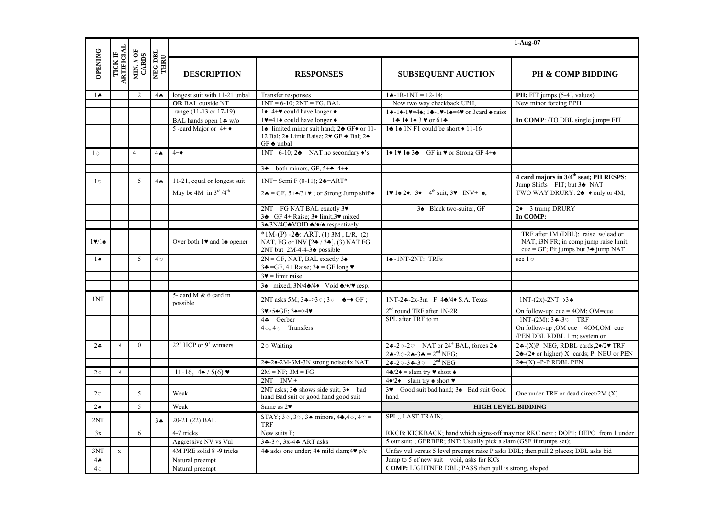|                |                       |                                   |                 | 1-Aug-07                                                     |                                                                                                                                                                         |                                                                                                                                     |                                                                                                                                 |
|----------------|-----------------------|-----------------------------------|-----------------|--------------------------------------------------------------|-------------------------------------------------------------------------------------------------------------------------------------------------------------------------|-------------------------------------------------------------------------------------------------------------------------------------|---------------------------------------------------------------------------------------------------------------------------------|
| <b>OPENING</b> | TICK IF<br>ARTIFICIAL | $\text{MIN}, \# \text{ OF}$ CARDS | NEG DBL<br>THRU | <b>DESCRIPTION</b><br><b>RESPONSES</b>                       |                                                                                                                                                                         | <b>SUBSEQUENT AUCTION</b>                                                                                                           | <b>PH &amp; COMP BIDDING</b>                                                                                                    |
| $1 -$          |                       | 2                                 | $4\spadesuit$   | longest suit with 11-21 unbal                                | Transfer responses                                                                                                                                                      | $1 - 1R - 1NT = 12 - 14$ :                                                                                                          | <b>PH:</b> FIT jumps $(5-4^{\circ})$ , values)                                                                                  |
|                |                       |                                   |                 | <b>OR BAL outside NT</b>                                     | $1NT = 6-10$ ; $2NT = FG$ , BAL                                                                                                                                         | Now two way checkback UPH,                                                                                                          | New minor forcing BPH                                                                                                           |
|                |                       |                                   |                 | range (11-13 or 17-19)                                       | $1 \rightarrow 4 + \mathbf{v}$ could have longer $\bullet$                                                                                                              | $1 - 1 - 1 = -4$ ; $1 - 1 = -4$ or 3 card $\triangle$ raise                                                                         |                                                                                                                                 |
|                |                       |                                   |                 | BAL hands open $1 \cdot w/o$                                 | 1. $\blacktriangleright$ =4+ $\blacktriangle$ could have longer $\blacktriangleright$                                                                                   | $1 \cdot 1 \cdot 1 \cdot 3 \cdot 0$ or $6 +$                                                                                        | In COMP: /TO DBL single jump= FIT                                                                                               |
|                |                       |                                   |                 | 5 - card Major or $4+$ $\bullet$                             | 14=limited minor suit hand; 24 GF+ or 11-<br>12 Bal; 2+ Limit Raise; 2 $\blacktriangleright$ GF $\blacktriangle$ Bal; 2 $\blacktriangleright$<br>$GF$ $\triangle$ unbal | $1\div 1\div 1$ N F1 could be short $\div 11$ -16                                                                                   |                                                                                                                                 |
| $1\diamond$    |                       | 4                                 | $4 \spadesuit$  | $4 + \bullet$                                                | 1NT= 6-10; $2\blacktriangleright$ = NAT no secondary $\blacklozenge$ 's                                                                                                 | $1\blacklozenge$ 1 $\blacklozenge$ 1 $\blacklozenge$ 3 $\blacklozenge$ = GF in $\blacktriangledown$ or Strong GF 4+ $\blacklozenge$ |                                                                                                                                 |
|                |                       |                                   |                 |                                                              | $3\clubsuit$ = both minors, GF, 5+ $\clubsuit$ 4+ $\spadesuit$                                                                                                          |                                                                                                                                     |                                                                                                                                 |
| $1\circ$       |                       | $\sqrt{5}$                        | $4\spadesuit$   | 11-21, equal or longest suit                                 | 1NT= Semi F (0-11); $2\triangle = ART^*$                                                                                                                                |                                                                                                                                     | 4 card majors in 3/4 <sup>th</sup> seat; PH RESPS:<br>Jump Shifts = FIT; but $3\triangle$ =NAT                                  |
|                |                       |                                   |                 | May be 4M in $3^{\text{rd}}/4^{\text{th}}$                   | $2\spadesuit = \text{GF}, 5+\spadesuit/3+\blacktriangledown$ ; or Strong Jump shift                                                                                     | 1. $1\bullet 2\bullet$ : $3\bullet = 4^{\text{th}}$ suit; $3\bullet = \text{INV+} \spadesuit$ ;                                     | TWO WAY DRURY: $2\clubsuit=\bullet$ only or 4M,                                                                                 |
|                |                       |                                   |                 |                                                              | $2NT = FG NAT BAL$ exactly $3\blacktriangledown$                                                                                                                        | $3\triangleq$ = Black two-suiter, GF                                                                                                | $2\bullet = 3$ trump DRURY                                                                                                      |
|                |                       |                                   |                 |                                                              | $3\clubsuit = GF$ 4+ Raise; $3\blacklozenge$ limit; $3\blacktriangledown$ mixed                                                                                         |                                                                                                                                     | In COMP:                                                                                                                        |
|                |                       |                                   |                 |                                                              | 34/3N/4C÷VOID +/◆/◆ respectively                                                                                                                                        |                                                                                                                                     |                                                                                                                                 |
| 19/14          |                       |                                   |                 | Over both $1\blacktriangleright$ and $1\blacklozenge$ opener | *1M-(P) -2 $\bullet$ : ART, (1) 3M, L/R, (2)<br>NAT, FG or INV [24 / 34], (3) NAT FG<br>$2NT$ but $2M-4-4-3$ possible                                                   |                                                                                                                                     | TRF after 1M (DBL): raise w/lead or<br>NAT; i3N FR; in comp jump raise limit;<br>cue = GF; Fit jumps but $3\triangleq$ jump NAT |
| $1\spadesuit$  |                       | 5                                 | $4\circ$        |                                                              | $2N = GF$ , NAT, BAL exactly $3\triangle$                                                                                                                               | $1\spadesuit$ -1NT-2NT: TRFs                                                                                                        | see 1 $\heartsuit$                                                                                                              |
|                |                       |                                   |                 |                                                              | $3\triangleq$ =GF, 4+ Raise; $3\triangleq$ = GF long $\blacktriangledown$                                                                                               |                                                                                                                                     |                                                                                                                                 |
|                |                       |                                   |                 |                                                              | $3\blacktriangledown$ = limit raise                                                                                                                                     |                                                                                                                                     |                                                                                                                                 |
|                |                       |                                   |                 |                                                              | $3\blacktriangle =$ mixed; $3N/4\blacktriangle/4\blacktriangleright =$ Void $\blacktriangle/\blacktriangleright/\blacktriangleright$ resp.                              |                                                                                                                                     |                                                                                                                                 |
| 1NT            |                       |                                   |                 | 5- card M & 6 card m<br>possible                             | 2NT asks 5M; $3\clubsuit -3\diamond$ ; $3\diamond = \clubsuit + \diamond$ GF;                                                                                           | 1NT-24--2x-3m = F; $4\frac{1}{2}$ /4 $\bullet$ S.A. Texas                                                                           | $1NT-(2x)-2NT \rightarrow 3$                                                                                                    |
|                |                       |                                   |                 |                                                              | 3v>54GF; 34=>4v                                                                                                                                                         | 2 <sup>nd</sup> round TRF after 1N-2R                                                                                               | On follow-up: $cue = 4OM$ ; OM= $cue$                                                                                           |
|                |                       |                                   |                 |                                                              | $4\clubsuit = \text{Gerber}$                                                                                                                                            | SPL after TRF to m                                                                                                                  | 1NT-(2M): $3 - 3 = TRF$                                                                                                         |
|                |                       |                                   |                 |                                                              | $4\diamond$ , $4\heartsuit$ = Transfers                                                                                                                                 |                                                                                                                                     | On follow-up : OM cue = $40M$ : OM=cue                                                                                          |
|                |                       |                                   |                 |                                                              |                                                                                                                                                                         |                                                                                                                                     | /PEN DBL RDBL 1 m; system on                                                                                                    |
| $2\bullet$     | $\sqrt{ }$            | $\theta$                          |                 | $22^+$ HCP or 9 <sup>+</sup> winners                         | $2\diamond$ Waiting                                                                                                                                                     | $2\clubsuit -2\diamond -2\heartsuit = \text{NAT}$ or $24^+$ BAL, forces 2 ♦                                                         | $2 \cdot (X)$ P=NEG, RDBL cards, $2 \cdot 2 \cdot$ TRF                                                                          |
|                |                       |                                   |                 |                                                              |                                                                                                                                                                         | $24 - 20 - 24 - 34 = 2^{nd} \text{NEG};$                                                                                            | $2\clubsuit$ -(2 $\bullet$ or higher) X=cards; P=NEU or PEN                                                                     |
|                |                       |                                   |                 |                                                              | 24-24-2M-3M-3N strong noise; 4x NAT                                                                                                                                     | $24 - 2 \diamond -34 - 3 \diamond = 2^{nd} \text{NEG}$                                                                              | $2\clubsuit$ -(X) -P-P RDBL PEN                                                                                                 |
| $2\diamond$    | $\sqrt{ }$            |                                   |                 | 11-16, $4\angle 5(6)$ v                                      | $2M = NF$ ; $3M = FG$                                                                                                                                                   | $4\clubsuit/2\bullet$ = slam try ♥ short $\triangleq$                                                                               |                                                                                                                                 |
|                |                       |                                   |                 |                                                              | $2NT = INV +$                                                                                                                                                           | $4\bullet/2\bullet = \text{slam try} \triangleq \text{short} \blacktriangledown$                                                    |                                                                                                                                 |
| 2 <sup>o</sup> |                       | 5                                 |                 | Weak                                                         | 2NT asks: $3\triangle$ shows side suit: $3\triangle$ = bad<br>hand Bad suit or good hand good suit                                                                      | $3\blacktriangleright$ = Good suit bad hand; $3\blacktriangleleft$ = Bad suit Good<br>hand                                          | One under TRF or dead direct/ $2M(X)$                                                                                           |
| $2\spadesuit$  |                       | 5                                 |                 | Weak                                                         | Same as $2\blacktriangledown$                                                                                                                                           | <b>HIGH LEVEL BIDDING</b>                                                                                                           |                                                                                                                                 |
| 2NT            |                       |                                   | 3 <sub>A</sub>  | 20-21 (22) BAL                                               | STAY; $3\Diamond$ , $3\Diamond$ , $3\spadesuit$ minors, $4\spadesuit$ , $4\Diamond$ , $4\heartsuit$ =<br><b>TRF</b>                                                     | <b>SPL:: LAST TRAIN:</b>                                                                                                            |                                                                                                                                 |
| 3x             |                       | 6                                 |                 | 4-7 tricks                                                   | New suits F;                                                                                                                                                            | RKCB; KICKBACK; hand which signs-off may not RKC next; DOP1; DEPO from 1 under                                                      |                                                                                                                                 |
|                |                       |                                   |                 | Aggressive NV vs Vul                                         | $34-3\diamond$ , $3x-4$ ART asks                                                                                                                                        | 5 our suit; ; GERBER; 5NT: Usually pick a slam (GSF if trumps set);                                                                 |                                                                                                                                 |
| 3NT            | $\mathbf{x}$          |                                   |                 | 4M PRE solid 8 -9 tricks                                     | 4. asks one under; $4\bullet$ mild slam; $4\nabla p/c$                                                                                                                  | Unfav vul versus 5 level preempt raise P asks DBL; then pull 2 places; DBL asks bid                                                 |                                                                                                                                 |
| $4 -$          |                       |                                   |                 | Natural preempt                                              |                                                                                                                                                                         | Jump to 5 of new suit = void, asks for $KCs$                                                                                        |                                                                                                                                 |
| $4\diamond$    |                       |                                   |                 | Natural preempt                                              |                                                                                                                                                                         | <b>COMP:</b> LIGHTNER DBL; PASS then pull is strong, shaped                                                                         |                                                                                                                                 |